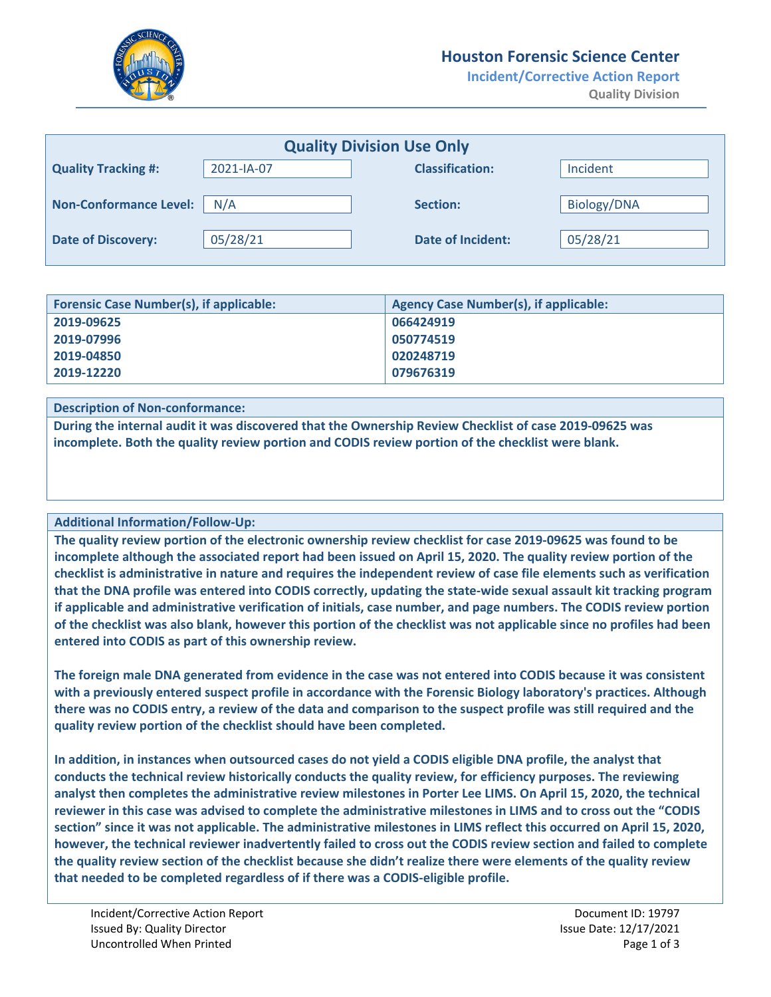

## **Houston Forensic Science Center**

**Incident/Corrective Action Report Quality Division**

| <b>Quality Division Use Only</b> |            |                          |             |  |
|----------------------------------|------------|--------------------------|-------------|--|
| <b>Quality Tracking #:</b>       | 2021-IA-07 | <b>Classification:</b>   | Incident    |  |
| <b>Non-Conformance Level:</b>    | N/A        | Section:                 | Biology/DNA |  |
| <b>Date of Discovery:</b>        | 05/28/21   | <b>Date of Incident:</b> | 05/28/21    |  |

| <b>Forensic Case Number(s), if applicable:</b> | <b>Agency Case Number(s), if applicable:</b> |  |
|------------------------------------------------|----------------------------------------------|--|
| 2019-09625                                     | 066424919                                    |  |
| 2019-07996                                     | 050774519                                    |  |
| 2019-04850                                     | 020248719                                    |  |
| 2019-12220                                     | 079676319                                    |  |

**Description of Non-conformance:**

**During the internal audit it was discovered that the Ownership Review Checklist of case 2019-09625 was incomplete. Both the quality review portion and CODIS review portion of the checklist were blank.** 

## **Additional Information/Follow-Up:**

**The quality review portion of the electronic ownership review checklist for case 2019-09625 was found to be incomplete although the associated report had been issued on April 15, 2020. The quality review portion of the checklist is administrative in nature and requires the independent review of case file elements such as verification that the DNA profile was entered into CODIS correctly, updating the state-wide sexual assault kit tracking program if applicable and administrative verification of initials, case number, and page numbers. The CODIS review portion of the checklist was also blank, however this portion of the checklist was not applicable since no profiles had been entered into CODIS as part of this ownership review.** 

**The foreign male DNA generated from evidence in the case was not entered into CODIS because it was consistent with a previously entered suspect profile in accordance with the Forensic Biology laboratory's practices. Although there was no CODIS entry, a review of the data and comparison to the suspect profile was still required and the quality review portion of the checklist should have been completed.** 

**In addition, in instances when outsourced cases do not yield a CODIS eligible DNA profile, the analyst that conducts the technical review historically conducts the quality review, for efficiency purposes. The reviewing analyst then completes the administrative review milestones in Porter Lee LIMS. On April 15, 2020, the technical reviewer in this case was advised to complete the administrative milestones in LIMS and to cross out the "CODIS section" since it was not applicable. The administrative milestones in LIMS reflect this occurred on April 15, 2020, however, the technical reviewer inadvertently failed to cross out the CODIS review section and failed to complete the quality review section of the checklist because she didn't realize there were elements of the quality review that needed to be completed regardless of if there was a CODIS-eligible profile.**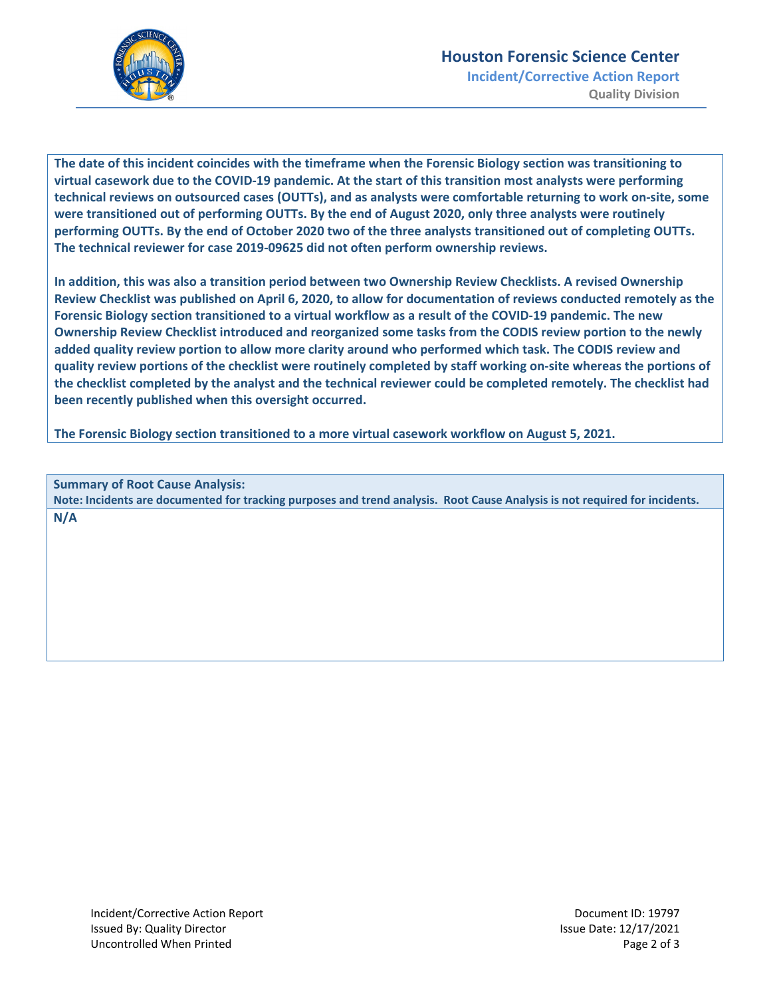

**Incident/Corrective Action Report Quality Division**

**The date of this incident coincides with the timeframe when the Forensic Biology section was transitioning to virtual casework due to the COVID-19 pandemic. At the start of this transition most analysts were performing technical reviews on outsourced cases (OUTTs), and as analysts were comfortable returning to work on-site, some were transitioned out of performing OUTTs. By the end of August 2020, only three analysts were routinely performing OUTTs. By the end of October 2020 two of the three analysts transitioned out of completing OUTTs. The technical reviewer for case 2019-09625 did not often perform ownership reviews.** 

**In addition, this was also a transition period between two Ownership Review Checklists. A revised Ownership Review Checklist was published on April 6, 2020, to allow for documentation of reviews conducted remotely as the Forensic Biology section transitioned to a virtual workflow as a result of the COVID-19 pandemic. The new Ownership Review Checklist introduced and reorganized some tasks from the CODIS review portion to the newly added quality review portion to allow more clarity around who performed which task. The CODIS review and quality review portions of the checklist were routinely completed by staff working on-site whereas the portions of the checklist completed by the analyst and the technical reviewer could be completed remotely. The checklist had been recently published when this oversight occurred.** 

**The Forensic Biology section transitioned to a more virtual casework workflow on August 5, 2021.** 

**Summary of Root Cause Analysis: Note: Incidents are documented for tracking purposes and trend analysis. Root Cause Analysis is not required for incidents. N/A**